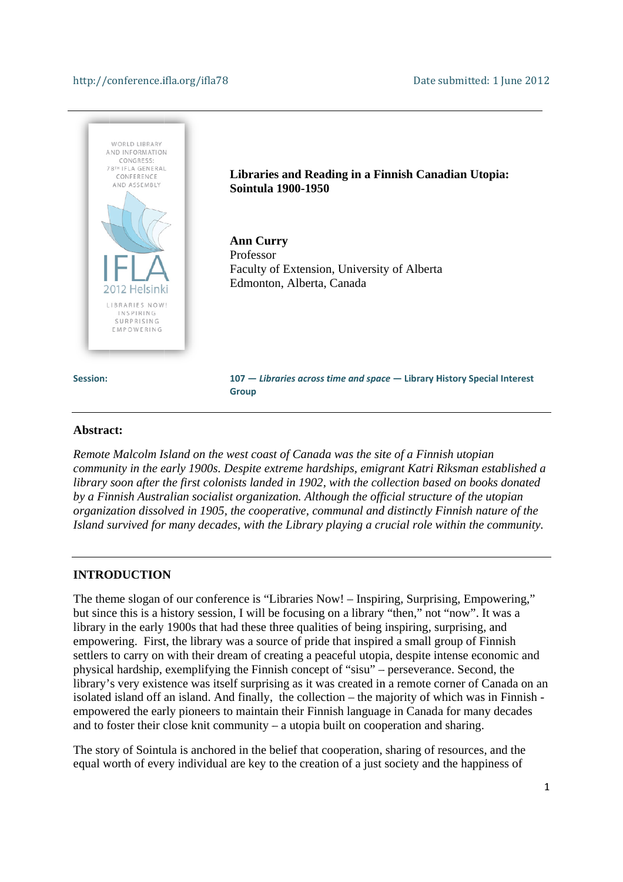#### http://conference.ifla.org/ifla78



#### Abstract:

*Remote Malcolm Island on the west coast of Canada was the site of a Finnish utopian Remote Malcolm Island on the west coast of Canada was the site of a Finnish utopian*<br>community in the early 1900s. Despite extreme hardships, emigrant Katri Riksman established a library soon after the first colonists landed in 1902, with the collection based on books donated by a Finnish Australian socialist organization. Although the official structure of the utopian *definition dissolved in 1905, the cooperative, communal and distinctly Finnish nature of the Island survived for many decades, with the Library playing a crucial role within the community.* 

#### **INTRODUCTION**

The theme slogan of our conference is "Libraries Now! – Inspiring, Surprising, Empowering," but since this is a history session, I will be focusing on a library "then," not "now". It was a library in the early 1900s that had these three qualities of being inspiring, surprising, and empowering. First, the library was a source of pride that inspired a small group of Finnish settlers to carry on with their dream of creating a peaceful utopia, despite intense economic and physical hardship, exemplifying the Finnish concept of "sisu" – perseverance. Second, the library's very existence was itself surprising as it was created in a remote corner of Canada on an isolated island off an island. And finally, the collection – the majority of which was in Finnish empowered the early pioneers to maintain their Finnish language in Canada for many decades and to foster their close knit community – a utopia built on cooperation and sharing.

The story of Sointula is anchored in the belief that cooperation, sharing of resources, and the equal worth of every individual are key to the creation of a just society and the happiness of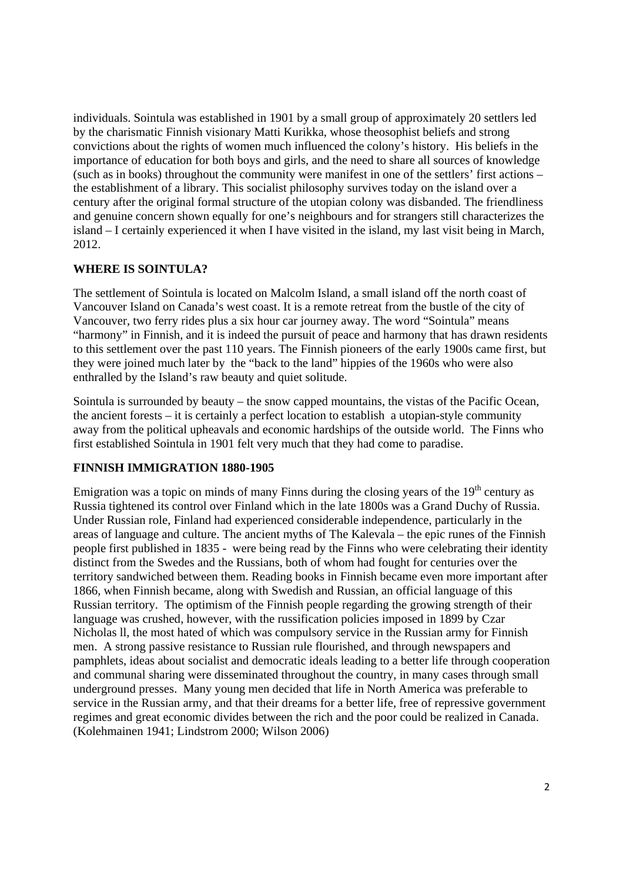individuals. Sointula was established in 1901 by a small group of approximately 20 settlers led by the charismatic Finnish visionary Matti Kurikka, whose theosophist beliefs and strong convictions about the rights of women much influenced the colony's history. His beliefs in the importance of education for both boys and girls, and the need to share all sources of knowledge (such as in books) throughout the community were manifest in one of the settlers' first actions – the establishment of a library. This socialist philosophy survives today on the island over a century after the original formal structure of the utopian colony was disbanded. The friendliness and genuine concern shown equally for one's neighbours and for strangers still characterizes the island – I certainly experienced it when I have visited in the island, my last visit being in March, 2012.

## **WHERE IS SOINTULA?**

The settlement of Sointula is located on Malcolm Island, a small island off the north coast of Vancouver Island on Canada's west coast. It is a remote retreat from the bustle of the city of Vancouver, two ferry rides plus a six hour car journey away. The word "Sointula" means "harmony" in Finnish, and it is indeed the pursuit of peace and harmony that has drawn residents to this settlement over the past 110 years. The Finnish pioneers of the early 1900s came first, but they were joined much later by the "back to the land" hippies of the 1960s who were also enthralled by the Island's raw beauty and quiet solitude.

Sointula is surrounded by beauty – the snow capped mountains, the vistas of the Pacific Ocean, the ancient forests – it is certainly a perfect location to establish a utopian-style community away from the political upheavals and economic hardships of the outside world. The Finns who first established Sointula in 1901 felt very much that they had come to paradise.

# **FINNISH IMMIGRATION 1880-1905**

Emigration was a topic on minds of many Finns during the closing years of the  $19<sup>th</sup>$  century as Russia tightened its control over Finland which in the late 1800s was a Grand Duchy of Russia. Under Russian role, Finland had experienced considerable independence, particularly in the areas of language and culture. The ancient myths of The Kalevala – the epic runes of the Finnish people first published in 1835 - were being read by the Finns who were celebrating their identity distinct from the Swedes and the Russians, both of whom had fought for centuries over the territory sandwiched between them. Reading books in Finnish became even more important after 1866, when Finnish became, along with Swedish and Russian, an official language of this Russian territory. The optimism of the Finnish people regarding the growing strength of their language was crushed, however, with the russification policies imposed in 1899 by Czar Nicholas ll, the most hated of which was compulsory service in the Russian army for Finnish men. A strong passive resistance to Russian rule flourished, and through newspapers and pamphlets, ideas about socialist and democratic ideals leading to a better life through cooperation and communal sharing were disseminated throughout the country, in many cases through small underground presses. Many young men decided that life in North America was preferable to service in the Russian army, and that their dreams for a better life, free of repressive government regimes and great economic divides between the rich and the poor could be realized in Canada. (Kolehmainen 1941; Lindstrom 2000; Wilson 2006)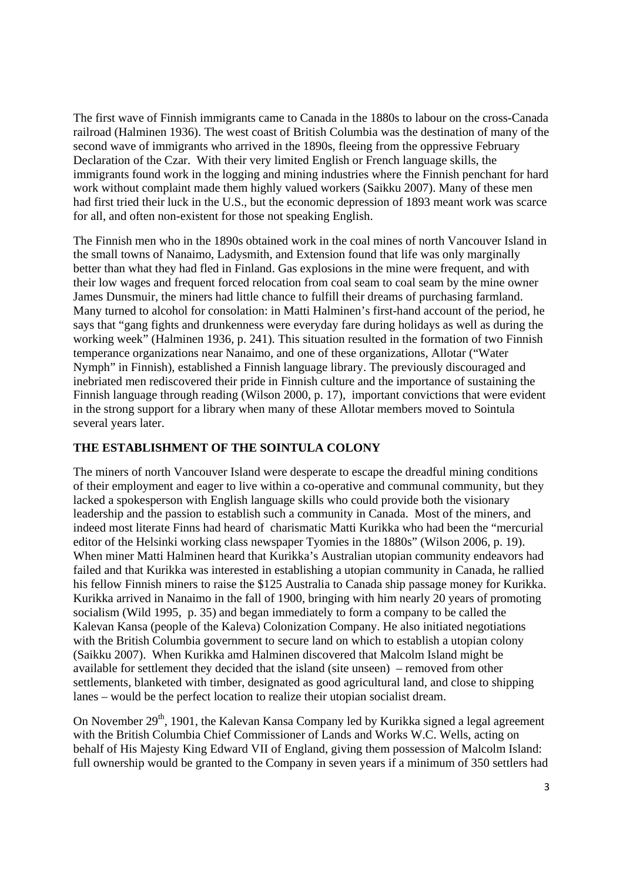The first wave of Finnish immigrants came to Canada in the 1880s to labour on the cross-Canada railroad (Halminen 1936). The west coast of British Columbia was the destination of many of the second wave of immigrants who arrived in the 1890s, fleeing from the oppressive February Declaration of the Czar. With their very limited English or French language skills, the immigrants found work in the logging and mining industries where the Finnish penchant for hard work without complaint made them highly valued workers (Saikku 2007). Many of these men had first tried their luck in the U.S., but the economic depression of 1893 meant work was scarce for all, and often non-existent for those not speaking English.

The Finnish men who in the 1890s obtained work in the coal mines of north Vancouver Island in the small towns of Nanaimo, Ladysmith, and Extension found that life was only marginally better than what they had fled in Finland. Gas explosions in the mine were frequent, and with their low wages and frequent forced relocation from coal seam to coal seam by the mine owner James Dunsmuir, the miners had little chance to fulfill their dreams of purchasing farmland. Many turned to alcohol for consolation: in Matti Halminen's first-hand account of the period, he says that "gang fights and drunkenness were everyday fare during holidays as well as during the working week" (Halminen 1936, p. 241). This situation resulted in the formation of two Finnish temperance organizations near Nanaimo, and one of these organizations, Allotar ("Water Nymph" in Finnish), established a Finnish language library. The previously discouraged and inebriated men rediscovered their pride in Finnish culture and the importance of sustaining the Finnish language through reading (Wilson 2000, p. 17), important convictions that were evident in the strong support for a library when many of these Allotar members moved to Sointula several years later.

## **THE ESTABLISHMENT OF THE SOINTULA COLONY**

The miners of north Vancouver Island were desperate to escape the dreadful mining conditions of their employment and eager to live within a co-operative and communal community, but they lacked a spokesperson with English language skills who could provide both the visionary leadership and the passion to establish such a community in Canada. Most of the miners, and indeed most literate Finns had heard of charismatic Matti Kurikka who had been the "mercurial editor of the Helsinki working class newspaper Tyomies in the 1880s" (Wilson 2006, p. 19). When miner Matti Halminen heard that Kurikka's Australian utopian community endeavors had failed and that Kurikka was interested in establishing a utopian community in Canada, he rallied his fellow Finnish miners to raise the \$125 Australia to Canada ship passage money for Kurikka. Kurikka arrived in Nanaimo in the fall of 1900, bringing with him nearly 20 years of promoting socialism (Wild 1995, p. 35) and began immediately to form a company to be called the Kalevan Kansa (people of the Kaleva) Colonization Company. He also initiated negotiations with the British Columbia government to secure land on which to establish a utopian colony (Saikku 2007). When Kurikka amd Halminen discovered that Malcolm Island might be available for settlement they decided that the island (site unseen) – removed from other settlements, blanketed with timber, designated as good agricultural land, and close to shipping lanes – would be the perfect location to realize their utopian socialist dream.

On November 29<sup>th</sup>, 1901, the Kalevan Kansa Company led by Kurikka signed a legal agreement with the British Columbia Chief Commissioner of Lands and Works W.C. Wells, acting on behalf of His Majesty King Edward VII of England, giving them possession of Malcolm Island: full ownership would be granted to the Company in seven years if a minimum of 350 settlers had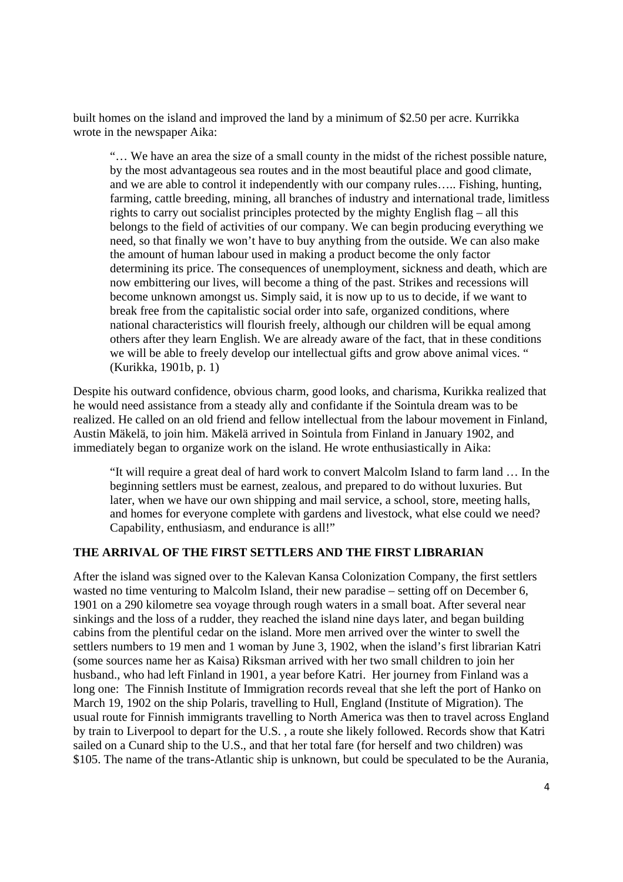built homes on the island and improved the land by a minimum of \$2.50 per acre. Kurrikka wrote in the newspaper Aika:

"… We have an area the size of a small county in the midst of the richest possible nature, by the most advantageous sea routes and in the most beautiful place and good climate, and we are able to control it independently with our company rules….. Fishing, hunting, farming, cattle breeding, mining, all branches of industry and international trade, limitless rights to carry out socialist principles protected by the mighty English flag – all this belongs to the field of activities of our company. We can begin producing everything we need, so that finally we won't have to buy anything from the outside. We can also make the amount of human labour used in making a product become the only factor determining its price. The consequences of unemployment, sickness and death, which are now embittering our lives, will become a thing of the past. Strikes and recessions will become unknown amongst us. Simply said, it is now up to us to decide, if we want to break free from the capitalistic social order into safe, organized conditions, where national characteristics will flourish freely, although our children will be equal among others after they learn English. We are already aware of the fact, that in these conditions we will be able to freely develop our intellectual gifts and grow above animal vices. " (Kurikka, 1901b, p. 1)

Despite his outward confidence, obvious charm, good looks, and charisma, Kurikka realized that he would need assistance from a steady ally and confidante if the Sointula dream was to be realized. He called on an old friend and fellow intellectual from the labour movement in Finland, Austin Mäkelä, to join him. Mäkelä arrived in Sointula from Finland in January 1902, and immediately began to organize work on the island. He wrote enthusiastically in Aika:

"It will require a great deal of hard work to convert Malcolm Island to farm land … In the beginning settlers must be earnest, zealous, and prepared to do without luxuries. But later, when we have our own shipping and mail service, a school, store, meeting halls, and homes for everyone complete with gardens and livestock, what else could we need? Capability, enthusiasm, and endurance is all!"

## **THE ARRIVAL OF THE FIRST SETTLERS AND THE FIRST LIBRARIAN**

After the island was signed over to the Kalevan Kansa Colonization Company, the first settlers wasted no time venturing to Malcolm Island, their new paradise – setting off on December 6, 1901 on a 290 kilometre sea voyage through rough waters in a small boat. After several near sinkings and the loss of a rudder, they reached the island nine days later, and began building cabins from the plentiful cedar on the island. More men arrived over the winter to swell the settlers numbers to 19 men and 1 woman by June 3, 1902, when the island's first librarian Katri (some sources name her as Kaisa) Riksman arrived with her two small children to join her husband., who had left Finland in 1901, a year before Katri. Her journey from Finland was a long one: The Finnish Institute of Immigration records reveal that she left the port of Hanko on March 19, 1902 on the ship Polaris, travelling to Hull, England (Institute of Migration). The usual route for Finnish immigrants travelling to North America was then to travel across England by train to Liverpool to depart for the U.S. , a route she likely followed. Records show that Katri sailed on a Cunard ship to the U.S., and that her total fare (for herself and two children) was \$105. The name of the trans-Atlantic ship is unknown, but could be speculated to be the Aurania,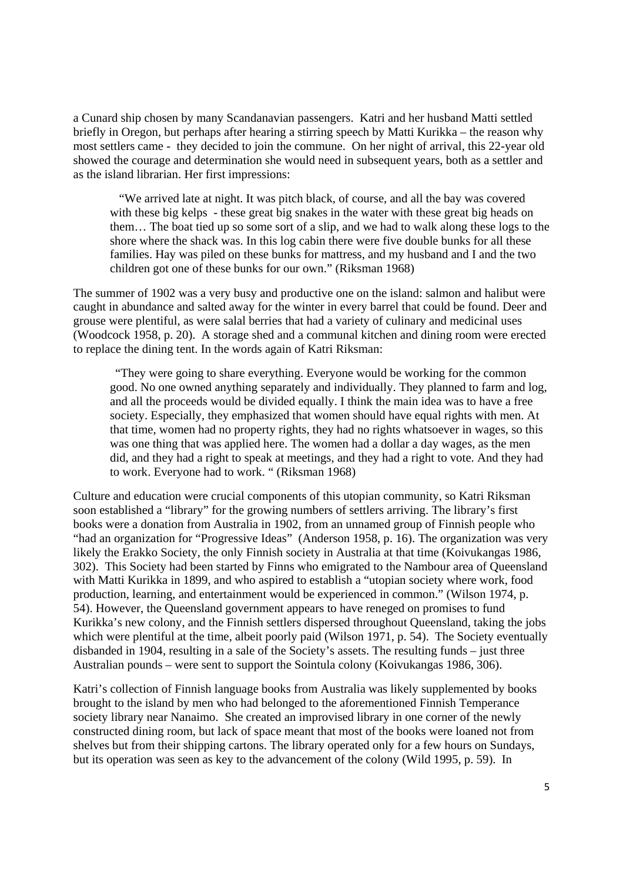a Cunard ship chosen by many Scandanavian passengers. Katri and her husband Matti settled briefly in Oregon, but perhaps after hearing a stirring speech by Matti Kurikka – the reason why most settlers came - they decided to join the commune. On her night of arrival, this 22-year old showed the courage and determination she would need in subsequent years, both as a settler and as the island librarian. Her first impressions:

 "We arrived late at night. It was pitch black, of course, and all the bay was covered with these big kelps - these great big snakes in the water with these great big heads on them… The boat tied up so some sort of a slip, and we had to walk along these logs to the shore where the shack was. In this log cabin there were five double bunks for all these families. Hay was piled on these bunks for mattress, and my husband and I and the two children got one of these bunks for our own." (Riksman 1968)

The summer of 1902 was a very busy and productive one on the island: salmon and halibut were caught in abundance and salted away for the winter in every barrel that could be found. Deer and grouse were plentiful, as were salal berries that had a variety of culinary and medicinal uses (Woodcock 1958, p. 20). A storage shed and a communal kitchen and dining room were erected to replace the dining tent. In the words again of Katri Riksman:

"They were going to share everything. Everyone would be working for the common good. No one owned anything separately and individually. They planned to farm and log, and all the proceeds would be divided equally. I think the main idea was to have a free society. Especially, they emphasized that women should have equal rights with men. At that time, women had no property rights, they had no rights whatsoever in wages, so this was one thing that was applied here. The women had a dollar a day wages, as the men did, and they had a right to speak at meetings, and they had a right to vote. And they had to work. Everyone had to work. " (Riksman 1968)

Culture and education were crucial components of this utopian community, so Katri Riksman soon established a "library" for the growing numbers of settlers arriving. The library's first books were a donation from Australia in 1902, from an unnamed group of Finnish people who "had an organization for "Progressive Ideas" (Anderson 1958, p. 16). The organization was very likely the Erakko Society, the only Finnish society in Australia at that time (Koivukangas 1986, 302). This Society had been started by Finns who emigrated to the Nambour area of Queensland with Matti Kurikka in 1899, and who aspired to establish a "utopian society where work, food production, learning, and entertainment would be experienced in common." (Wilson 1974, p. 54). However, the Queensland government appears to have reneged on promises to fund Kurikka's new colony, and the Finnish settlers dispersed throughout Queensland, taking the jobs which were plentiful at the time, albeit poorly paid (Wilson 1971, p. 54). The Society eventually disbanded in 1904, resulting in a sale of the Society's assets. The resulting funds – just three Australian pounds – were sent to support the Sointula colony (Koivukangas 1986, 306).

Katri's collection of Finnish language books from Australia was likely supplemented by books brought to the island by men who had belonged to the aforementioned Finnish Temperance society library near Nanaimo. She created an improvised library in one corner of the newly constructed dining room, but lack of space meant that most of the books were loaned not from shelves but from their shipping cartons. The library operated only for a few hours on Sundays, but its operation was seen as key to the advancement of the colony (Wild 1995, p. 59). In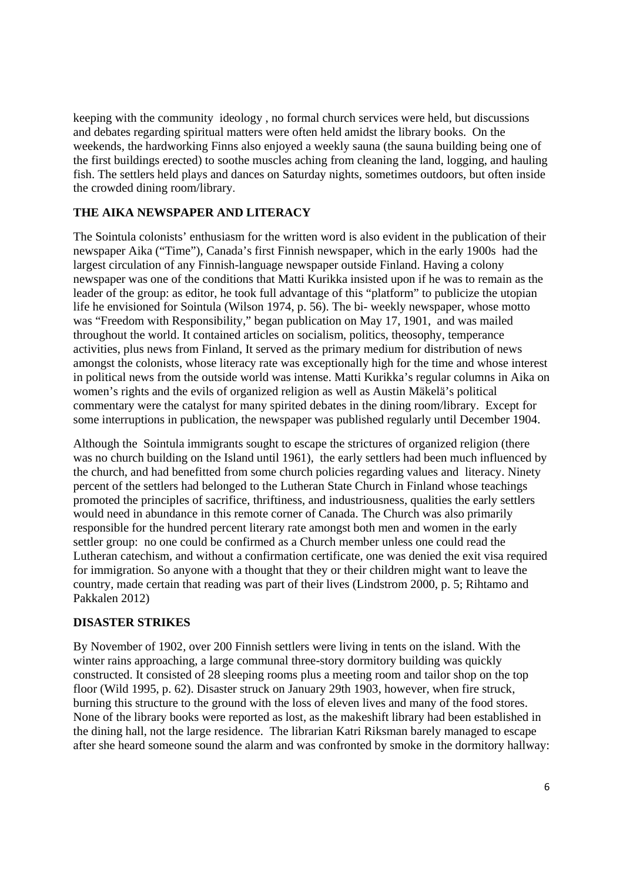keeping with the community ideology , no formal church services were held, but discussions and debates regarding spiritual matters were often held amidst the library books. On the weekends, the hardworking Finns also enjoyed a weekly sauna (the sauna building being one of the first buildings erected) to soothe muscles aching from cleaning the land, logging, and hauling fish. The settlers held plays and dances on Saturday nights, sometimes outdoors, but often inside the crowded dining room/library.

# **THE AIKA NEWSPAPER AND LITERACY**

The Sointula colonists' enthusiasm for the written word is also evident in the publication of their newspaper Aika ("Time"), Canada's first Finnish newspaper, which in the early 1900s had the largest circulation of any Finnish-language newspaper outside Finland. Having a colony newspaper was one of the conditions that Matti Kurikka insisted upon if he was to remain as the leader of the group: as editor, he took full advantage of this "platform" to publicize the utopian life he envisioned for Sointula (Wilson 1974, p. 56). The bi- weekly newspaper, whose motto was "Freedom with Responsibility," began publication on May 17, 1901, and was mailed throughout the world. It contained articles on socialism, politics, theosophy, temperance activities, plus news from Finland, It served as the primary medium for distribution of news amongst the colonists, whose literacy rate was exceptionally high for the time and whose interest in political news from the outside world was intense. Matti Kurikka's regular columns in Aika on women's rights and the evils of organized religion as well as Austin Mäkelä's political commentary were the catalyst for many spirited debates in the dining room/library. Except for some interruptions in publication, the newspaper was published regularly until December 1904.

Although the Sointula immigrants sought to escape the strictures of organized religion (there was no church building on the Island until 1961), the early settlers had been much influenced by the church, and had benefitted from some church policies regarding values and literacy. Ninety percent of the settlers had belonged to the Lutheran State Church in Finland whose teachings promoted the principles of sacrifice, thriftiness, and industriousness, qualities the early settlers would need in abundance in this remote corner of Canada. The Church was also primarily responsible for the hundred percent literary rate amongst both men and women in the early settler group: no one could be confirmed as a Church member unless one could read the Lutheran catechism, and without a confirmation certificate, one was denied the exit visa required for immigration. So anyone with a thought that they or their children might want to leave the country, made certain that reading was part of their lives (Lindstrom 2000, p. 5; Rihtamo and Pakkalen 2012)

## **DISASTER STRIKES**

By November of 1902, over 200 Finnish settlers were living in tents on the island. With the winter rains approaching, a large communal three-story dormitory building was quickly constructed. It consisted of 28 sleeping rooms plus a meeting room and tailor shop on the top floor (Wild 1995, p. 62). Disaster struck on January 29th 1903, however, when fire struck, burning this structure to the ground with the loss of eleven lives and many of the food stores. None of the library books were reported as lost, as the makeshift library had been established in the dining hall, not the large residence. The librarian Katri Riksman barely managed to escape after she heard someone sound the alarm and was confronted by smoke in the dormitory hallway: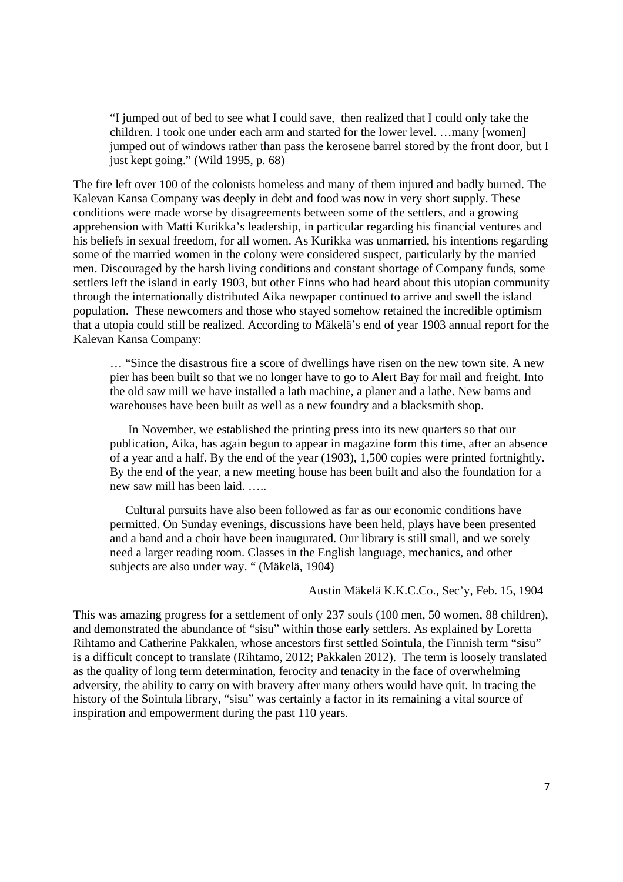"I jumped out of bed to see what I could save, then realized that I could only take the children. I took one under each arm and started for the lower level. …many [women] jumped out of windows rather than pass the kerosene barrel stored by the front door, but I just kept going." (Wild 1995, p. 68)

The fire left over 100 of the colonists homeless and many of them injured and badly burned. The Kalevan Kansa Company was deeply in debt and food was now in very short supply. These conditions were made worse by disagreements between some of the settlers, and a growing apprehension with Matti Kurikka's leadership, in particular regarding his financial ventures and his beliefs in sexual freedom, for all women. As Kurikka was unmarried, his intentions regarding some of the married women in the colony were considered suspect, particularly by the married men. Discouraged by the harsh living conditions and constant shortage of Company funds, some settlers left the island in early 1903, but other Finns who had heard about this utopian community through the internationally distributed Aika newpaper continued to arrive and swell the island population. These newcomers and those who stayed somehow retained the incredible optimism that a utopia could still be realized. According to Mäkelä's end of year 1903 annual report for the Kalevan Kansa Company:

… "Since the disastrous fire a score of dwellings have risen on the new town site. A new pier has been built so that we no longer have to go to Alert Bay for mail and freight. Into the old saw mill we have installed a lath machine, a planer and a lathe. New barns and warehouses have been built as well as a new foundry and a blacksmith shop.

 In November, we established the printing press into its new quarters so that our publication, Aika, has again begun to appear in magazine form this time, after an absence of a year and a half. By the end of the year (1903), 1,500 copies were printed fortnightly. By the end of the year, a new meeting house has been built and also the foundation for a new saw mill has been laid. …..

 Cultural pursuits have also been followed as far as our economic conditions have permitted. On Sunday evenings, discussions have been held, plays have been presented and a band and a choir have been inaugurated. Our library is still small, and we sorely need a larger reading room. Classes in the English language, mechanics, and other subjects are also under way. " (Mäkelä, 1904)

### Austin Mäkelä K.K.C.Co., Sec'y, Feb. 15, 1904

This was amazing progress for a settlement of only 237 souls (100 men, 50 women, 88 children), and demonstrated the abundance of "sisu" within those early settlers. As explained by Loretta Rihtamo and Catherine Pakkalen, whose ancestors first settled Sointula, the Finnish term "sisu" is a difficult concept to translate (Rihtamo, 2012; Pakkalen 2012). The term is loosely translated as the quality of long term determination, ferocity and tenacity in the face of overwhelming adversity, the ability to carry on with bravery after many others would have quit. In tracing the history of the Sointula library, "sisu" was certainly a factor in its remaining a vital source of inspiration and empowerment during the past 110 years.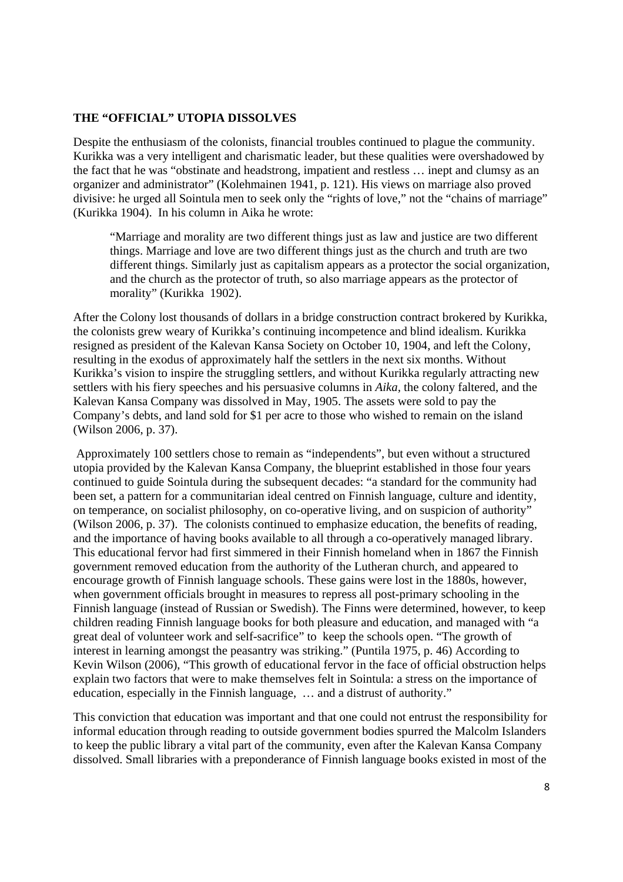## **THE "OFFICIAL" UTOPIA DISSOLVES**

Despite the enthusiasm of the colonists, financial troubles continued to plague the community. Kurikka was a very intelligent and charismatic leader, but these qualities were overshadowed by the fact that he was "obstinate and headstrong, impatient and restless … inept and clumsy as an organizer and administrator" (Kolehmainen 1941, p. 121). His views on marriage also proved divisive: he urged all Sointula men to seek only the "rights of love," not the "chains of marriage" (Kurikka 1904). In his column in Aika he wrote:

"Marriage and morality are two different things just as law and justice are two different things. Marriage and love are two different things just as the church and truth are two different things. Similarly just as capitalism appears as a protector the social organization, and the church as the protector of truth, so also marriage appears as the protector of morality" (Kurikka 1902).

After the Colony lost thousands of dollars in a bridge construction contract brokered by Kurikka, the colonists grew weary of Kurikka's continuing incompetence and blind idealism. Kurikka resigned as president of the Kalevan Kansa Society on October 10, 1904, and left the Colony, resulting in the exodus of approximately half the settlers in the next six months. Without Kurikka's vision to inspire the struggling settlers, and without Kurikka regularly attracting new settlers with his fiery speeches and his persuasive columns in *Aika,* the colony faltered, and the Kalevan Kansa Company was dissolved in May, 1905. The assets were sold to pay the Company's debts, and land sold for \$1 per acre to those who wished to remain on the island (Wilson 2006, p. 37).

 Approximately 100 settlers chose to remain as "independents", but even without a structured utopia provided by the Kalevan Kansa Company, the blueprint established in those four years continued to guide Sointula during the subsequent decades: "a standard for the community had been set, a pattern for a communitarian ideal centred on Finnish language, culture and identity, on temperance, on socialist philosophy, on co-operative living, and on suspicion of authority" (Wilson 2006, p. 37). The colonists continued to emphasize education, the benefits of reading, and the importance of having books available to all through a co-operatively managed library. This educational fervor had first simmered in their Finnish homeland when in 1867 the Finnish government removed education from the authority of the Lutheran church, and appeared to encourage growth of Finnish language schools. These gains were lost in the 1880s, however, when government officials brought in measures to repress all post-primary schooling in the Finnish language (instead of Russian or Swedish). The Finns were determined, however, to keep children reading Finnish language books for both pleasure and education, and managed with "a great deal of volunteer work and self-sacrifice" to keep the schools open. "The growth of interest in learning amongst the peasantry was striking." (Puntila 1975, p. 46) According to Kevin Wilson (2006), "This growth of educational fervor in the face of official obstruction helps explain two factors that were to make themselves felt in Sointula: a stress on the importance of education, especially in the Finnish language, … and a distrust of authority."

This conviction that education was important and that one could not entrust the responsibility for informal education through reading to outside government bodies spurred the Malcolm Islanders to keep the public library a vital part of the community, even after the Kalevan Kansa Company dissolved. Small libraries with a preponderance of Finnish language books existed in most of the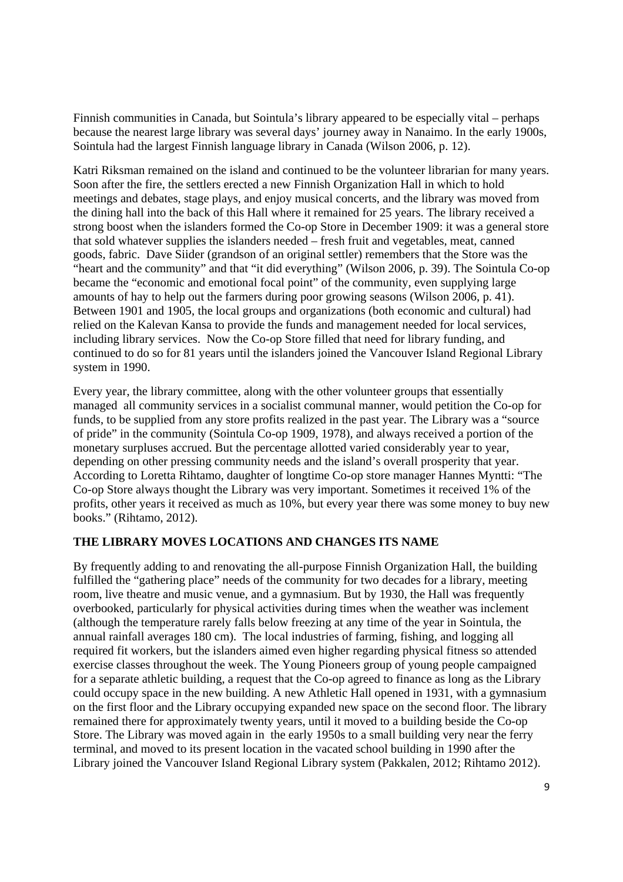Finnish communities in Canada, but Sointula's library appeared to be especially vital – perhaps because the nearest large library was several days' journey away in Nanaimo. In the early 1900s, Sointula had the largest Finnish language library in Canada (Wilson 2006, p. 12).

Katri Riksman remained on the island and continued to be the volunteer librarian for many years. Soon after the fire, the settlers erected a new Finnish Organization Hall in which to hold meetings and debates, stage plays, and enjoy musical concerts, and the library was moved from the dining hall into the back of this Hall where it remained for 25 years. The library received a strong boost when the islanders formed the Co-op Store in December 1909: it was a general store that sold whatever supplies the islanders needed – fresh fruit and vegetables, meat, canned goods, fabric. Dave Siider (grandson of an original settler) remembers that the Store was the "heart and the community" and that "it did everything" (Wilson 2006, p. 39). The Sointula Co-op became the "economic and emotional focal point" of the community, even supplying large amounts of hay to help out the farmers during poor growing seasons (Wilson 2006, p. 41). Between 1901 and 1905, the local groups and organizations (both economic and cultural) had relied on the Kalevan Kansa to provide the funds and management needed for local services, including library services. Now the Co-op Store filled that need for library funding, and continued to do so for 81 years until the islanders joined the Vancouver Island Regional Library system in 1990.

Every year, the library committee, along with the other volunteer groups that essentially managed all community services in a socialist communal manner, would petition the Co-op for funds, to be supplied from any store profits realized in the past year. The Library was a "source of pride" in the community (Sointula Co-op 1909, 1978), and always received a portion of the monetary surpluses accrued. But the percentage allotted varied considerably year to year, depending on other pressing community needs and the island's overall prosperity that year. According to Loretta Rihtamo, daughter of longtime Co-op store manager Hannes Myntti: "The Co-op Store always thought the Library was very important. Sometimes it received 1% of the profits, other years it received as much as 10%, but every year there was some money to buy new books." (Rihtamo, 2012).

## **THE LIBRARY MOVES LOCATIONS AND CHANGES ITS NAME**

By frequently adding to and renovating the all-purpose Finnish Organization Hall, the building fulfilled the "gathering place" needs of the community for two decades for a library, meeting room, live theatre and music venue, and a gymnasium. But by 1930, the Hall was frequently overbooked, particularly for physical activities during times when the weather was inclement (although the temperature rarely falls below freezing at any time of the year in Sointula, the annual rainfall averages 180 cm). The local industries of farming, fishing, and logging all required fit workers, but the islanders aimed even higher regarding physical fitness so attended exercise classes throughout the week. The Young Pioneers group of young people campaigned for a separate athletic building, a request that the Co-op agreed to finance as long as the Library could occupy space in the new building. A new Athletic Hall opened in 1931, with a gymnasium on the first floor and the Library occupying expanded new space on the second floor. The library remained there for approximately twenty years, until it moved to a building beside the Co-op Store. The Library was moved again in the early 1950s to a small building very near the ferry terminal, and moved to its present location in the vacated school building in 1990 after the Library joined the Vancouver Island Regional Library system (Pakkalen, 2012; Rihtamo 2012).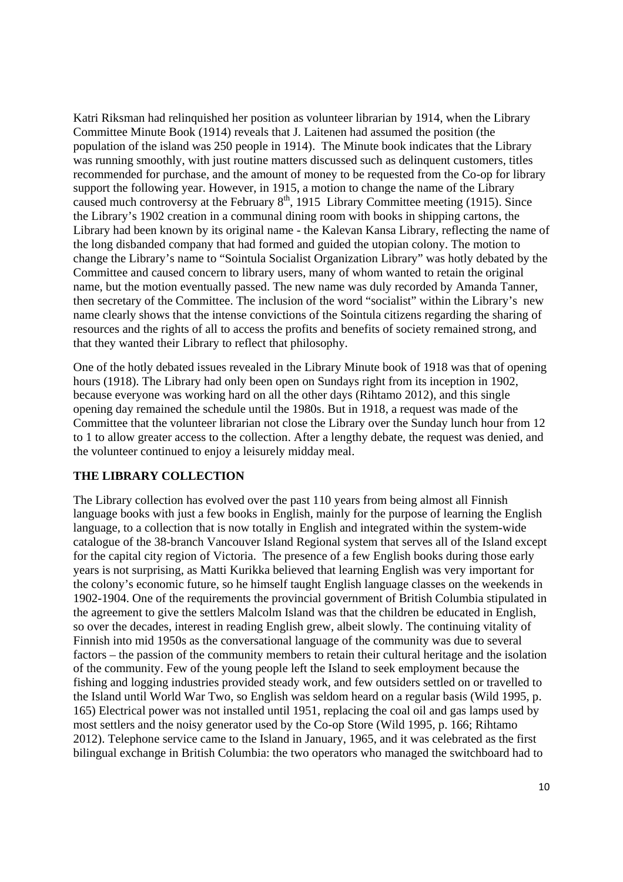Katri Riksman had relinquished her position as volunteer librarian by 1914, when the Library Committee Minute Book (1914) reveals that J. Laitenen had assumed the position (the population of the island was 250 people in 1914). The Minute book indicates that the Library was running smoothly, with just routine matters discussed such as delinquent customers, titles recommended for purchase, and the amount of money to be requested from the Co-op for library support the following year. However, in 1915, a motion to change the name of the Library caused much controversy at the February  $8<sup>th</sup>$ , 1915 Library Committee meeting (1915). Since the Library's 1902 creation in a communal dining room with books in shipping cartons, the Library had been known by its original name - the Kalevan Kansa Library, reflecting the name of the long disbanded company that had formed and guided the utopian colony. The motion to change the Library's name to "Sointula Socialist Organization Library" was hotly debated by the Committee and caused concern to library users, many of whom wanted to retain the original name, but the motion eventually passed. The new name was duly recorded by Amanda Tanner, then secretary of the Committee. The inclusion of the word "socialist" within the Library's new name clearly shows that the intense convictions of the Sointula citizens regarding the sharing of resources and the rights of all to access the profits and benefits of society remained strong, and that they wanted their Library to reflect that philosophy.

One of the hotly debated issues revealed in the Library Minute book of 1918 was that of opening hours (1918). The Library had only been open on Sundays right from its inception in 1902, because everyone was working hard on all the other days (Rihtamo 2012), and this single opening day remained the schedule until the 1980s. But in 1918, a request was made of the Committee that the volunteer librarian not close the Library over the Sunday lunch hour from 12 to 1 to allow greater access to the collection. After a lengthy debate, the request was denied, and the volunteer continued to enjoy a leisurely midday meal.

## **THE LIBRARY COLLECTION**

The Library collection has evolved over the past 110 years from being almost all Finnish language books with just a few books in English, mainly for the purpose of learning the English language, to a collection that is now totally in English and integrated within the system-wide catalogue of the 38-branch Vancouver Island Regional system that serves all of the Island except for the capital city region of Victoria. The presence of a few English books during those early years is not surprising, as Matti Kurikka believed that learning English was very important for the colony's economic future, so he himself taught English language classes on the weekends in 1902-1904. One of the requirements the provincial government of British Columbia stipulated in the agreement to give the settlers Malcolm Island was that the children be educated in English, so over the decades, interest in reading English grew, albeit slowly. The continuing vitality of Finnish into mid 1950s as the conversational language of the community was due to several factors – the passion of the community members to retain their cultural heritage and the isolation of the community. Few of the young people left the Island to seek employment because the fishing and logging industries provided steady work, and few outsiders settled on or travelled to the Island until World War Two, so English was seldom heard on a regular basis (Wild 1995, p. 165) Electrical power was not installed until 1951, replacing the coal oil and gas lamps used by most settlers and the noisy generator used by the Co-op Store (Wild 1995, p. 166; Rihtamo 2012). Telephone service came to the Island in January, 1965, and it was celebrated as the first bilingual exchange in British Columbia: the two operators who managed the switchboard had to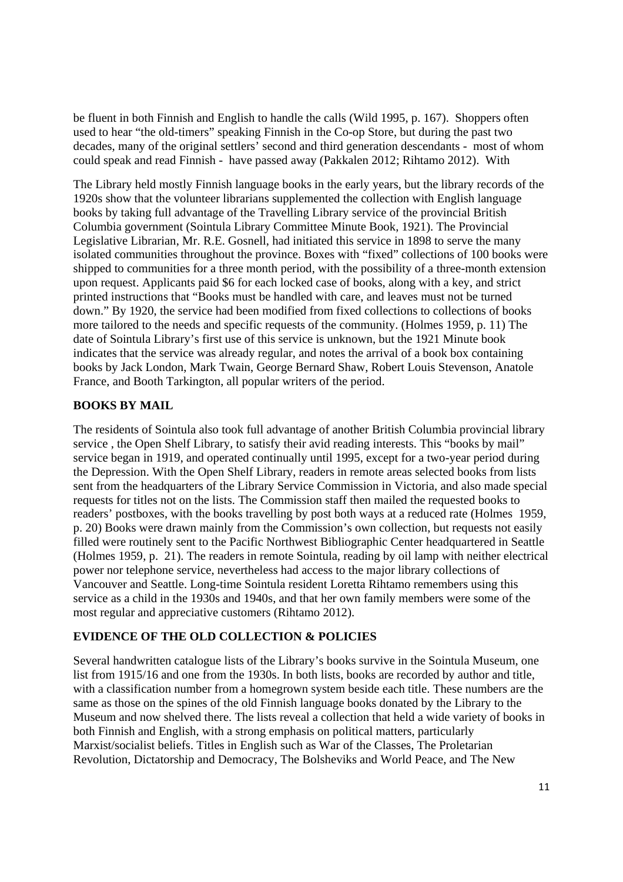be fluent in both Finnish and English to handle the calls (Wild 1995, p. 167). Shoppers often used to hear "the old-timers" speaking Finnish in the Co-op Store, but during the past two decades, many of the original settlers' second and third generation descendants - most of whom could speak and read Finnish - have passed away (Pakkalen 2012; Rihtamo 2012). With

The Library held mostly Finnish language books in the early years, but the library records of the 1920s show that the volunteer librarians supplemented the collection with English language books by taking full advantage of the Travelling Library service of the provincial British Columbia government (Sointula Library Committee Minute Book, 1921). The Provincial Legislative Librarian, Mr. R.E. Gosnell, had initiated this service in 1898 to serve the many isolated communities throughout the province. Boxes with "fixed" collections of 100 books were shipped to communities for a three month period, with the possibility of a three-month extension upon request. Applicants paid \$6 for each locked case of books, along with a key, and strict printed instructions that "Books must be handled with care, and leaves must not be turned down." By 1920, the service had been modified from fixed collections to collections of books more tailored to the needs and specific requests of the community. (Holmes 1959, p. 11) The date of Sointula Library's first use of this service is unknown, but the 1921 Minute book indicates that the service was already regular, and notes the arrival of a book box containing books by Jack London, Mark Twain, George Bernard Shaw, Robert Louis Stevenson, Anatole France, and Booth Tarkington, all popular writers of the period.

# **BOOKS BY MAIL**

The residents of Sointula also took full advantage of another British Columbia provincial library service , the Open Shelf Library, to satisfy their avid reading interests. This "books by mail" service began in 1919, and operated continually until 1995, except for a two-year period during the Depression. With the Open Shelf Library, readers in remote areas selected books from lists sent from the headquarters of the Library Service Commission in Victoria, and also made special requests for titles not on the lists. The Commission staff then mailed the requested books to readers' postboxes, with the books travelling by post both ways at a reduced rate (Holmes 1959, p. 20) Books were drawn mainly from the Commission's own collection, but requests not easily filled were routinely sent to the Pacific Northwest Bibliographic Center headquartered in Seattle (Holmes 1959, p. 21). The readers in remote Sointula, reading by oil lamp with neither electrical power nor telephone service, nevertheless had access to the major library collections of Vancouver and Seattle. Long-time Sointula resident Loretta Rihtamo remembers using this service as a child in the 1930s and 1940s, and that her own family members were some of the most regular and appreciative customers (Rihtamo 2012).

## **EVIDENCE OF THE OLD COLLECTION & POLICIES**

Several handwritten catalogue lists of the Library's books survive in the Sointula Museum, one list from 1915/16 and one from the 1930s. In both lists, books are recorded by author and title, with a classification number from a homegrown system beside each title. These numbers are the same as those on the spines of the old Finnish language books donated by the Library to the Museum and now shelved there. The lists reveal a collection that held a wide variety of books in both Finnish and English, with a strong emphasis on political matters, particularly Marxist/socialist beliefs. Titles in English such as War of the Classes, The Proletarian Revolution, Dictatorship and Democracy, The Bolsheviks and World Peace, and The New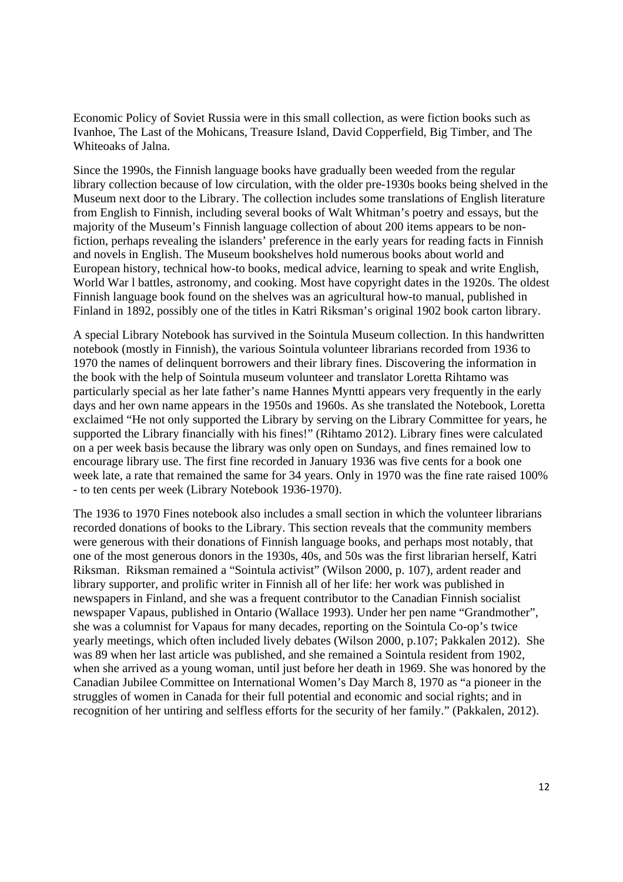Economic Policy of Soviet Russia were in this small collection, as were fiction books such as Ivanhoe, The Last of the Mohicans, Treasure Island, David Copperfield, Big Timber, and The Whiteoaks of Jalna.

Since the 1990s, the Finnish language books have gradually been weeded from the regular library collection because of low circulation, with the older pre-1930s books being shelved in the Museum next door to the Library. The collection includes some translations of English literature from English to Finnish, including several books of Walt Whitman's poetry and essays, but the majority of the Museum's Finnish language collection of about 200 items appears to be nonfiction, perhaps revealing the islanders' preference in the early years for reading facts in Finnish and novels in English. The Museum bookshelves hold numerous books about world and European history, technical how-to books, medical advice, learning to speak and write English, World War l battles, astronomy, and cooking. Most have copyright dates in the 1920s. The oldest Finnish language book found on the shelves was an agricultural how-to manual, published in Finland in 1892, possibly one of the titles in Katri Riksman's original 1902 book carton library.

A special Library Notebook has survived in the Sointula Museum collection. In this handwritten notebook (mostly in Finnish), the various Sointula volunteer librarians recorded from 1936 to 1970 the names of delinquent borrowers and their library fines. Discovering the information in the book with the help of Sointula museum volunteer and translator Loretta Rihtamo was particularly special as her late father's name Hannes Myntti appears very frequently in the early days and her own name appears in the 1950s and 1960s. As she translated the Notebook, Loretta exclaimed "He not only supported the Library by serving on the Library Committee for years, he supported the Library financially with his fines!" (Rihtamo 2012). Library fines were calculated on a per week basis because the library was only open on Sundays, and fines remained low to encourage library use. The first fine recorded in January 1936 was five cents for a book one week late, a rate that remained the same for 34 years. Only in 1970 was the fine rate raised 100% - to ten cents per week (Library Notebook 1936-1970).

The 1936 to 1970 Fines notebook also includes a small section in which the volunteer librarians recorded donations of books to the Library. This section reveals that the community members were generous with their donations of Finnish language books, and perhaps most notably, that one of the most generous donors in the 1930s, 40s, and 50s was the first librarian herself, Katri Riksman. Riksman remained a "Sointula activist" (Wilson 2000, p. 107), ardent reader and library supporter, and prolific writer in Finnish all of her life: her work was published in newspapers in Finland, and she was a frequent contributor to the Canadian Finnish socialist newspaper Vapaus, published in Ontario (Wallace 1993). Under her pen name "Grandmother", she was a columnist for Vapaus for many decades, reporting on the Sointula Co-op's twice yearly meetings, which often included lively debates (Wilson 2000, p.107; Pakkalen 2012). She was 89 when her last article was published, and she remained a Sointula resident from 1902, when she arrived as a young woman, until just before her death in 1969. She was honored by the Canadian Jubilee Committee on International Women's Day March 8, 1970 as "a pioneer in the struggles of women in Canada for their full potential and economic and social rights; and in recognition of her untiring and selfless efforts for the security of her family." (Pakkalen, 2012).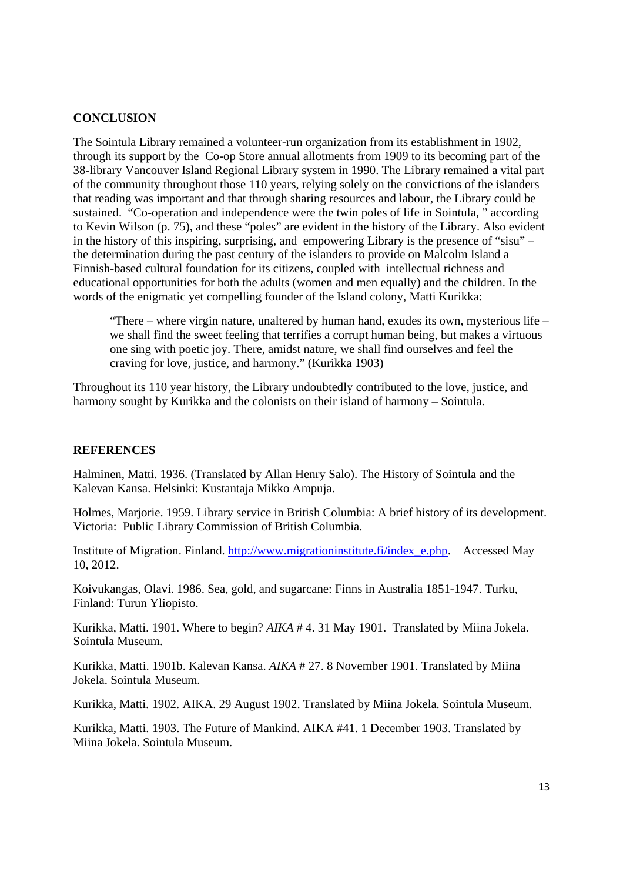### **CONCLUSION**

The Sointula Library remained a volunteer-run organization from its establishment in 1902, through its support by the Co-op Store annual allotments from 1909 to its becoming part of the 38-library Vancouver Island Regional Library system in 1990. The Library remained a vital part of the community throughout those 110 years, relying solely on the convictions of the islanders that reading was important and that through sharing resources and labour, the Library could be sustained. "Co-operation and independence were the twin poles of life in Sointula, " according to Kevin Wilson (p. 75), and these "poles" are evident in the history of the Library. Also evident in the history of this inspiring, surprising, and empowering Library is the presence of "sisu" – the determination during the past century of the islanders to provide on Malcolm Island a Finnish-based cultural foundation for its citizens, coupled with intellectual richness and educational opportunities for both the adults (women and men equally) and the children. In the words of the enigmatic yet compelling founder of the Island colony, Matti Kurikka:

"There – where virgin nature, unaltered by human hand, exudes its own, mysterious life – we shall find the sweet feeling that terrifies a corrupt human being, but makes a virtuous one sing with poetic joy. There, amidst nature, we shall find ourselves and feel the craving for love, justice, and harmony." (Kurikka 1903)

Throughout its 110 year history, the Library undoubtedly contributed to the love, justice, and harmony sought by Kurikka and the colonists on their island of harmony – Sointula.

### **REFERENCES**

Halminen, Matti. 1936. (Translated by Allan Henry Salo). The History of Sointula and the Kalevan Kansa. Helsinki: Kustantaja Mikko Ampuja.

Holmes, Marjorie. 1959. Library service in British Columbia: A brief history of its development. Victoria: Public Library Commission of British Columbia.

Institute of Migration. Finland. http://www.migrationinstitute.fi/index\_e.php. Accessed May 10, 2012.

Koivukangas, Olavi. 1986. Sea, gold, and sugarcane: Finns in Australia 1851-1947. Turku, Finland: Turun Yliopisto.

Kurikka, Matti. 1901. Where to begin? *AIKA* # 4. 31 May 1901. Translated by Miina Jokela. Sointula Museum.

Kurikka, Matti. 1901b. Kalevan Kansa. *AIKA* # 27. 8 November 1901. Translated by Miina Jokela. Sointula Museum.

Kurikka, Matti. 1902. AIKA. 29 August 1902. Translated by Miina Jokela. Sointula Museum.

Kurikka, Matti. 1903. The Future of Mankind. AIKA #41. 1 December 1903. Translated by Miina Jokela. Sointula Museum.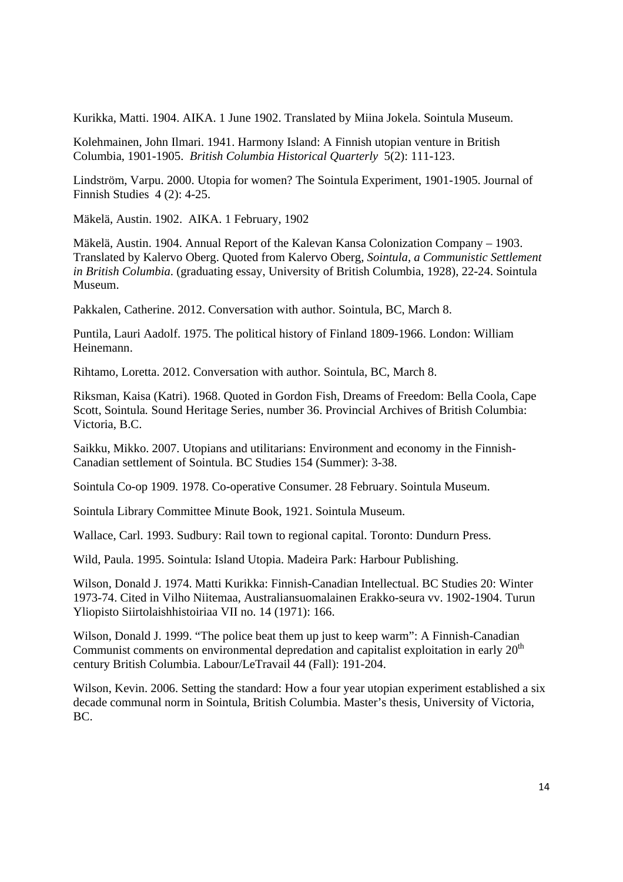Kurikka, Matti. 1904. AIKA. 1 June 1902. Translated by Miina Jokela. Sointula Museum.

Kolehmainen, John Ilmari. 1941. Harmony Island: A Finnish utopian venture in British Columbia, 1901-1905. *British Columbia Historical Quarterly* 5(2): 111-123.

Lindström, Varpu. 2000. Utopia for women? The Sointula Experiment, 1901-1905. Journal of Finnish Studies 4 (2): 4-25.

Mäkelä, Austin. 1902. AIKA. 1 February, 1902

Mäkelä, Austin. 1904. Annual Report of the Kalevan Kansa Colonization Company – 1903. Translated by Kalervo Oberg. Quoted from Kalervo Oberg, *Sointula, a Communistic Settlement in British Columbia*. (graduating essay, University of British Columbia, 1928), 22-24. Sointula Museum.

Pakkalen, Catherine. 2012. Conversation with author. Sointula, BC, March 8.

Puntila, Lauri Aadolf. 1975. The political history of Finland 1809-1966. London: William Heinemann.

Rihtamo, Loretta. 2012. Conversation with author. Sointula, BC, March 8.

Riksman, Kaisa (Katri). 1968. Quoted in Gordon Fish, Dreams of Freedom: Bella Coola, Cape Scott, Sointula*.* Sound Heritage Series, number 36. Provincial Archives of British Columbia: Victoria, B.C.

Saikku, Mikko. 2007. Utopians and utilitarians: Environment and economy in the Finnish-Canadian settlement of Sointula. BC Studies 154 (Summer): 3-38.

Sointula Co-op 1909. 1978. Co-operative Consumer. 28 February. Sointula Museum.

Sointula Library Committee Minute Book, 1921. Sointula Museum.

Wallace, Carl. 1993. Sudbury: Rail town to regional capital. Toronto: Dundurn Press.

Wild, Paula. 1995. Sointula: Island Utopia. Madeira Park: Harbour Publishing.

Wilson, Donald J. 1974. Matti Kurikka: Finnish-Canadian Intellectual. BC Studies 20: Winter 1973-74. Cited in Vilho Niitemaa, Australiansuomalainen Erakko-seura vv. 1902-1904. Turun Yliopisto Siirtolaishhistoiriaa VII no. 14 (1971): 166.

Wilson, Donald J. 1999. "The police beat them up just to keep warm": A Finnish-Canadian Communist comments on environmental depredation and capitalist exploitation in early  $20<sup>th</sup>$ century British Columbia. Labour/LeTravail 44 (Fall): 191-204.

Wilson, Kevin. 2006. Setting the standard: How a four year utopian experiment established a six decade communal norm in Sointula, British Columbia. Master's thesis, University of Victoria, BC.